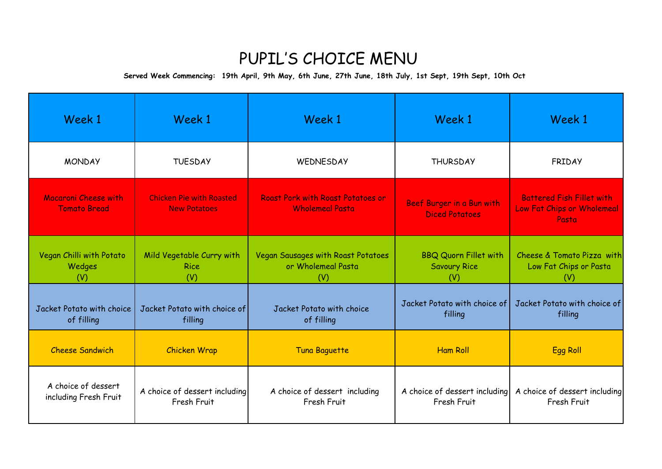## PUPIL'S CHOICE MENU

**Served Week Commencing: 19th April, 9th May, 6th June, 27th June, 18th July, 1st Sept, 19th Sept, 10th Oct**

| Week 1                                       | Week 1                                                 | Week 1                                                             | Week 1                                                     | Week 1                                                                  |
|----------------------------------------------|--------------------------------------------------------|--------------------------------------------------------------------|------------------------------------------------------------|-------------------------------------------------------------------------|
| <b>MONDAY</b>                                | <b>TUESDAY</b>                                         | WEDNESDAY                                                          | <b>THURSDAY</b>                                            | FRIDAY                                                                  |
| Macaroni Cheese with<br><b>Tomato Bread</b>  | <b>Chicken Pie with Roasted</b><br><b>New Potatoes</b> | <b>Roast Pork with Roast Potatoes or</b><br><b>Wholemeal Pasta</b> | Beef Burger in a Bun with<br><b>Diced Potatoes</b>         | <b>Battered Fish Fillet with</b><br>Low Fat Chips or Wholemeal<br>Pasta |
| Vegan Chilli with Potato<br>Wedges<br>(V)    | Mild Vegetable Curry with<br><b>Rice</b><br>(V)        | Vegan Sausages with Roast Potatoes<br>or Wholemeal Pasta<br>(V)    | <b>BBQ Quorn Fillet with</b><br><b>Savoury Rice</b><br>(V) | Cheese & Tomato Pizza with<br>Low Fat Chips or Pasta<br>(V)             |
| Jacket Potato with choice<br>of filling      | Jacket Potato with choice of<br>filling                | Jacket Potato with choice<br>of filling                            | Jacket Potato with choice of<br>filling                    | Jacket Potato with choice of<br>filling                                 |
| <b>Cheese Sandwich</b>                       | <b>Chicken Wrap</b>                                    | <b>Tuna Baguette</b>                                               | <b>Ham Roll</b>                                            | <b>Egg Roll</b>                                                         |
| A choice of dessert<br>including Fresh Fruit | A choice of dessert including<br>Fresh Fruit           | A choice of dessert including<br>Fresh Fruit                       | A choice of dessert including<br>Fresh Fruit               | A choice of dessert including<br>Fresh Fruit                            |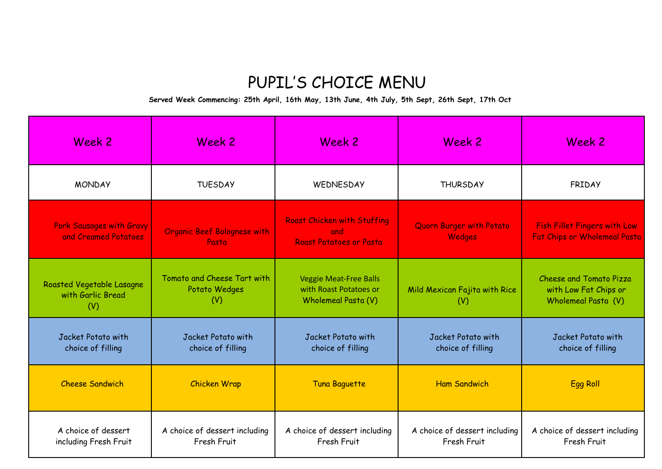## PUPIL'S CHOICE MENU

**Served Week Commencing: 25th April, 16th May, 13th June, 4th July, 5th Sept, 26th Sept, 17th Oct**

| Week 2                                                | Week 2                                              | Week 2                                                                         | Week 2                                       | Week 2                                                                     |
|-------------------------------------------------------|-----------------------------------------------------|--------------------------------------------------------------------------------|----------------------------------------------|----------------------------------------------------------------------------|
| <b>MONDAY</b>                                         | <b>TUESDAY</b>                                      | WEDNESDAY                                                                      | <b>THURSDAY</b>                              | FRIDAY                                                                     |
| Pork Sausages with Gravy<br>and Creamed Potatoes      | <b>Organic Beef Bolognese with</b><br>Pasta         | <b>Roast Chicken with Stuffing</b><br>and<br>Roast Potatoes or Pasta           | Quorn Burger with Potato<br><b>Wedges</b>    | <b>Fish Fillet Fingers with Low</b><br><b>Fat Chips or Wholemeal Pasta</b> |
| Roasted Vegetable Lasagne<br>with Garlic Bread<br>(V) | Tomato and Cheese Tart with<br>Potato Wedges<br>(V) | <b>Veggie Meat-Free Balls</b><br>with Roast Potatoes or<br>Wholemeal Pasta (V) | Mild Mexican Fajita with Rice<br>(V)         | Cheese and Tomato Pizza<br>with Low Fat Chips or<br>Wholemeal Pasta (V)    |
| Jacket Potato with<br>choice of filling               | Jacket Potato with<br>choice of filling             | Jacket Potato with<br>choice of filling                                        | Jacket Potato with<br>choice of filling      | Jacket Potato with<br>choice of filling                                    |
| <b>Cheese Sandwich</b>                                | <b>Chicken Wrap</b>                                 | <b>Tuna Baguette</b>                                                           | <b>Ham Sandwich</b>                          | <b>Egg Roll</b>                                                            |
| A choice of dessert<br>including Fresh Fruit          | A choice of dessert including<br>Fresh Fruit        | A choice of dessert including<br>Fresh Fruit                                   | A choice of dessert including<br>Fresh Fruit | A choice of dessert including<br>Fresh Fruit                               |